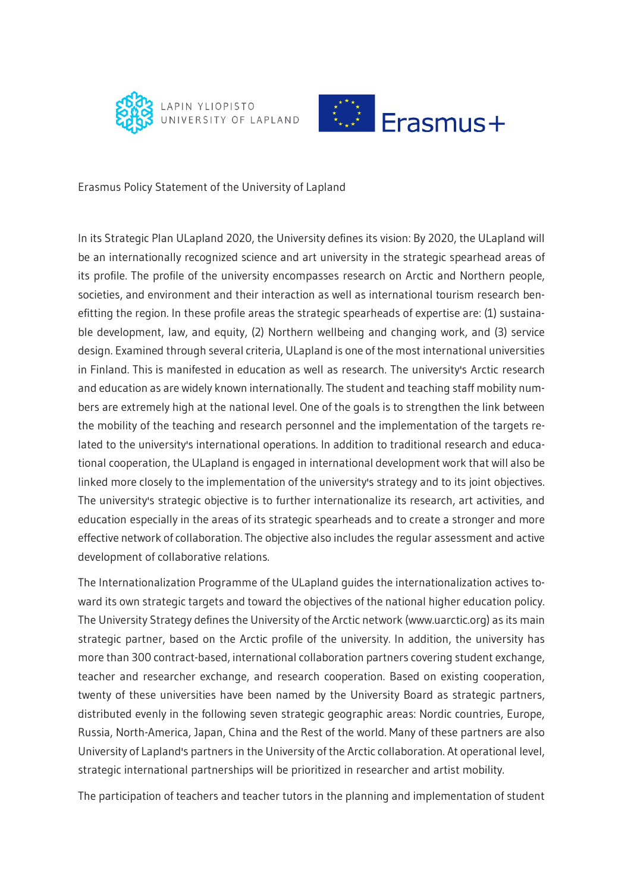



Erasmus Policy Statement of the University of Lapland

In its Strategic Plan ULapland 2020, the University defines its vision: By 2020, the ULapland will be an internationally recognized science and art university in the strategic spearhead areas of its profile. The profile of the university encompasses research on Arctic and Northern people, societies, and environment and their interaction as well as international tourism research benefitting the region. In these profile areas the strategic spearheads of expertise are: (1) sustainable development, law, and equity, (2) Northern wellbeing and changing work, and (3) service design. Examined through several criteria, ULapland is one of the most international universities in Finland. This is manifested in education as well as research. The university's Arctic research and education as are widely known internationally. The student and teaching staff mobility numbers are extremely high at the national level. One of the goals is to strengthen the link between the mobility of the teaching and research personnel and the implementation of the targets related to the university's international operations. In addition to traditional research and educational cooperation, the ULapland is engaged in international development work that will also be linked more closely to the implementation of the university's strategy and to its joint objectives. The university's strategic objective is to further internationalize its research, art activities, and education especially in the areas of its strategic spearheads and to create a stronger and more effective network of collaboration. The objective also includes the regular assessment and active development of collaborative relations.

The Internationalization Programme of the ULapland guides the internationalization actives toward its own strategic targets and toward the objectives of the national higher education policy. The University Strategy defines the University of the Arctic network (www.uarctic.org) as its main strategic partner, based on the Arctic profile of the university. In addition, the university has more than 300 contract-based, international collaboration partners covering student exchange, teacher and researcher exchange, and research cooperation. Based on existing cooperation, twenty of these universities have been named by the University Board as strategic partners, distributed evenly in the following seven strategic geographic areas: Nordic countries, Europe, Russia, North-America, Japan, China and the Rest of the world. Many of these partners are also University of Lapland's partners in the University of the Arctic collaboration. At operational level, strategic international partnerships will be prioritized in researcher and artist mobility.

The participation of teachers and teacher tutors in the planning and implementation of student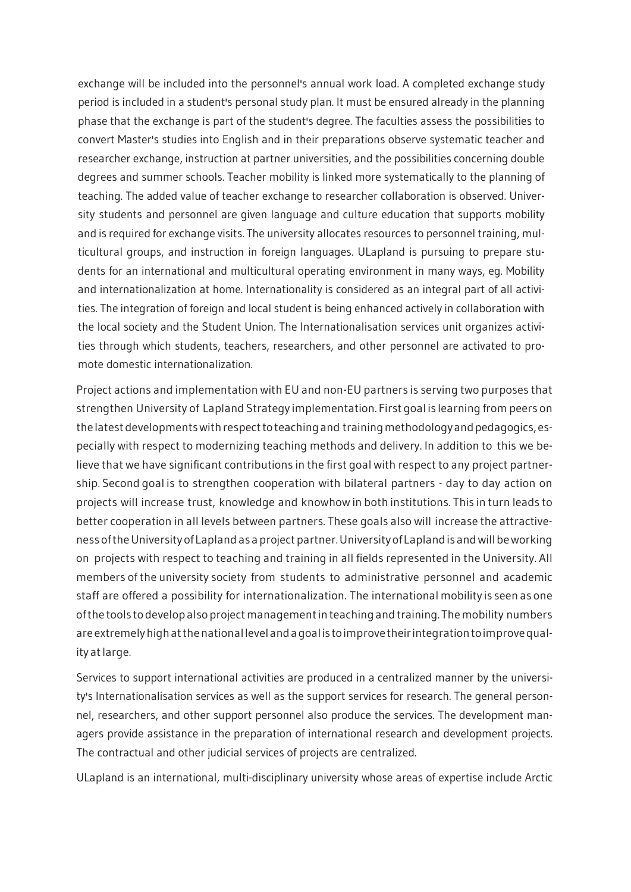exchange will be included into the personnel's annual work load. A completed exchange study period is included in a student's personal study plan. It must be ensured already in the planning phase that the exchange is part of the student's degree. The faculties assess the possibilities to convert Master's studies into English and in their preparations observe systematic teacher and researcher exchange, instruction at partner universities, and the possibilities concerning double degrees and summer schools. Teacher mobility is linked more systematically to the planning of teaching. The added value of teacher exchange to researcher collaboration is observed. University students and personnel are given language and culture education that supports mobility and is required for exchange visits. The university allocates resources to personnel training, multicultural groups, and instruction in foreign languages. ULapland is pursuing to prepare students for an international and multicultural operating environment in many ways, eg. Mobility and internationalization at home. Internationality is considered as an integral part of all activities. The integration of foreign and local student is being enhanced actively in collaboration with the local society and the Student Union. The Internationalisation services unit organizes activities through which students, teachers, researchers, and other personnel are activated to promote domestic internationalization.

Project actions and implementation with EU and non-EU partners is serving two purposes that strengthen University of Lapland Strategy implementation. First goal is learning from peers on the latest developments with respect to teaching and training methodology and pedagogics, especially with respect to modernizing teaching methods and delivery. In addition to this we believe that we have significant contributions in the first goal with respect to any project partnership. Second goal is to strengthen cooperation with bilateral partners - day to day action on projects will increase trust, knowledge and knowhow in both institutions. This in turn leads to better cooperation in all levels between partners. These goals also will increase the attractiveness of the University of Lapland as a project partner. University of Lapland is and will be working on projects with respect to teaching and training in all fields represented in the University. All members of the university society from students to administrative personnel and academic staff are offered a possibility for internationalization. The international mobility is seen as one ofthe tools to develop alsoproject managementinteaching and training. Themobility numbers areextremelyhighatthenationallevelandagoalis toimprovetheirintegrationtoimprovequality at large.

Services to support international activities are produced in a centralized manner by the university's Internationalisation services as well as the support services for research. The general personnel, researchers, and other support personnel also produce the services. The development managers provide assistance in the preparation of international research and development projects. The contractual and other judicial services of projects are centralized.

ULapland is an international, multi-disciplinary university whose areas of expertise include Arctic